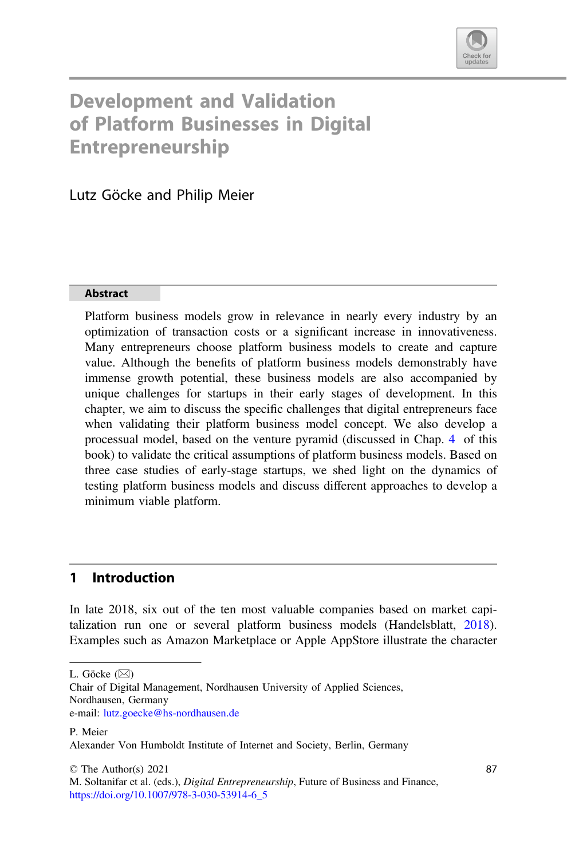

# Development and Validation of Platform Businesses in Digital Entrepreneurship

Lutz Göcke and Philip Meier

#### Abstract

Platform business models grow in relevance in nearly every industry by an optimization of transaction costs or a significant increase in innovativeness. Many entrepreneurs choose platform business models to create and capture value. Although the benefits of platform business models demonstrably have immense growth potential, these business models are also accompanied by unique challenges for startups in their early stages of development. In this chapter, we aim to discuss the specific challenges that digital entrepreneurs face when validating their platform business model concept. We also develop a processual model, based on the venture pyramid (discussed in Chap. 4 of this book) to validate the critical assumptions of platform business models. Based on three case studies of early-stage startups, we shed light on the dynamics of testing platform business models and discuss different approaches to develop a minimum viable platform.

# 1 Introduction

In late 2018, six out of the ten most valuable companies based on market capitalization run one or several platform business models (Handelsblatt, [2018\)](#page-14-0). Examples such as Amazon Marketplace or Apple AppStore illustrate the character

P. Meier

L. Göcke  $(\boxtimes)$ 

Chair of Digital Management, Nordhausen University of Applied Sciences, Nordhausen, Germany e-mail: [lutz.goecke@hs-nordhausen.de](mailto:lutz.goecke@<HypSlash>hs-nordhausen</HypSlash>.de)

Alexander Von Humboldt Institute of Internet and Society, Berlin, Germany

<sup>©</sup> The Author(s) 2021

M. Soltanifar et al. (eds.), *Digital Entrepreneurship*, Future of Business and Finance, [https://doi.org/10.1007/978-3-030-53914-6\\_5](https://doi.org/10.1007/978-3-030-53914-6_5)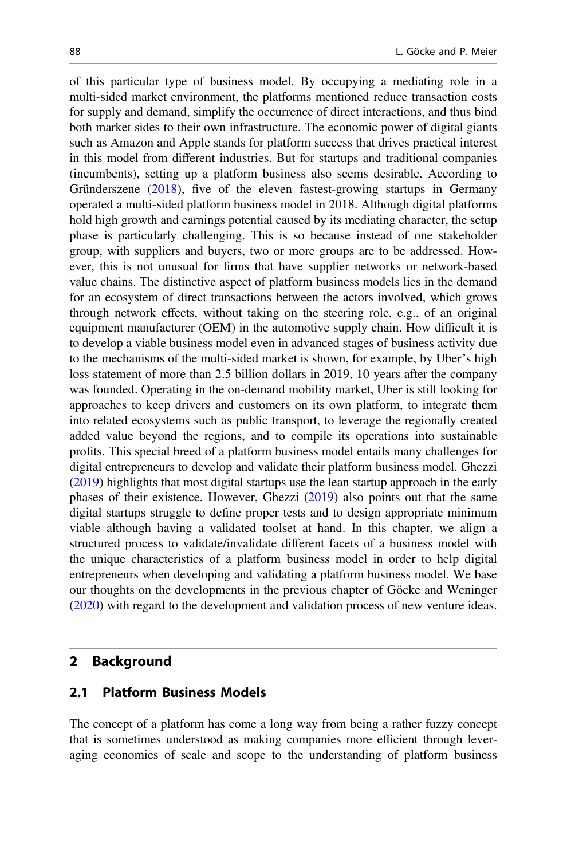of this particular type of business model. By occupying a mediating role in a multi-sided market environment, the platforms mentioned reduce transaction costs for supply and demand, simplify the occurrence of direct interactions, and thus bind both market sides to their own infrastructure. The economic power of digital giants such as Amazon and Apple stands for platform success that drives practical interest in this model from different industries. But for startups and traditional companies (incumbents), setting up a platform business also seems desirable. According to Gründerszene ([2018\)](#page-14-0), five of the eleven fastest-growing startups in Germany operated a multi-sided platform business model in 2018. Although digital platforms hold high growth and earnings potential caused by its mediating character, the setup phase is particularly challenging. This is so because instead of one stakeholder group, with suppliers and buyers, two or more groups are to be addressed. However, this is not unusual for firms that have supplier networks or network-based value chains. The distinctive aspect of platform business models lies in the demand for an ecosystem of direct transactions between the actors involved, which grows through network effects, without taking on the steering role, e.g., of an original equipment manufacturer (OEM) in the automotive supply chain. How difficult it is to develop a viable business model even in advanced stages of business activity due to the mechanisms of the multi-sided market is shown, for example, by Uber's high loss statement of more than 2.5 billion dollars in 2019, 10 years after the company was founded. Operating in the on-demand mobility market, Uber is still looking for approaches to keep drivers and customers on its own platform, to integrate them into related ecosystems such as public transport, to leverage the regionally created added value beyond the regions, and to compile its operations into sustainable profits. This special breed of a platform business model entails many challenges for digital entrepreneurs to develop and validate their platform business model. Ghezzi [\(2019](#page-14-0)) highlights that most digital startups use the lean startup approach in the early phases of their existence. However, Ghezzi ([2019\)](#page-14-0) also points out that the same digital startups struggle to define proper tests and to design appropriate minimum viable although having a validated toolset at hand. In this chapter, we align a structured process to validate/invalidate different facets of a business model with the unique characteristics of a platform business model in order to help digital entrepreneurs when developing and validating a platform business model. We base our thoughts on the developments in the previous chapter of Göcke and Weninger [\(2020](#page-14-0)) with regard to the development and validation process of new venture ideas.

### 2 Background

# 2.1 Platform Business Models

The concept of a platform has come a long way from being a rather fuzzy concept that is sometimes understood as making companies more efficient through leveraging economies of scale and scope to the understanding of platform business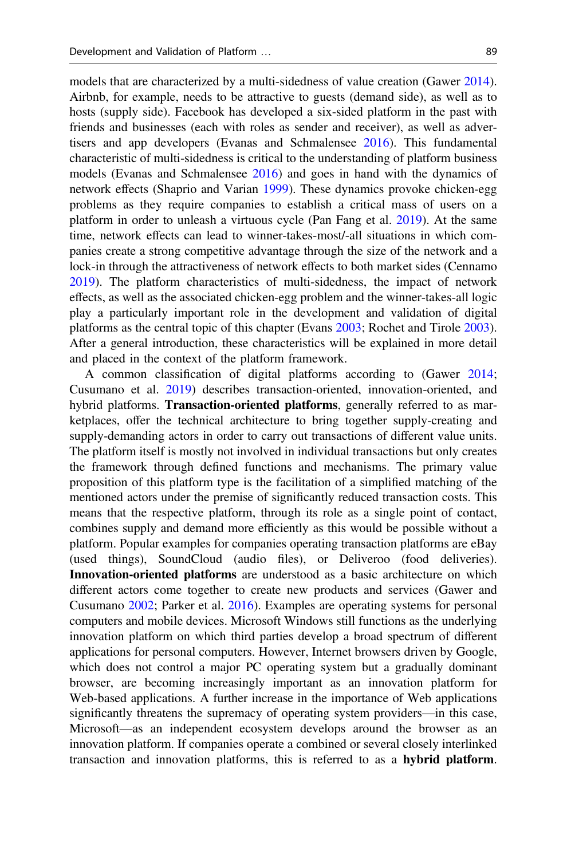models that are characterized by a multi-sidedness of value creation (Gawer [2014\)](#page-14-0). Airbnb, for example, needs to be attractive to guests (demand side), as well as to hosts (supply side). Facebook has developed a six-sided platform in the past with friends and businesses (each with roles as sender and receiver), as well as advertisers and app developers (Evanas and Schmalensee [2016\)](#page-14-0). This fundamental characteristic of multi-sidedness is critical to the understanding of platform business models (Evanas and Schmalensee [2016\)](#page-14-0) and goes in hand with the dynamics of network effects (Shaprio and Varian [1999\)](#page-14-0). These dynamics provoke chicken-egg problems as they require companies to establish a critical mass of users on a platform in order to unleash a virtuous cycle (Pan Fang et al. [2019](#page-14-0)). At the same time, network effects can lead to winner-takes-most/-all situations in which companies create a strong competitive advantage through the size of the network and a lock-in through the attractiveness of network effects to both market sides (Cennamo [2019\)](#page-13-0). The platform characteristics of multi-sidedness, the impact of network effects, as well as the associated chicken-egg problem and the winner-takes-all logic play a particularly important role in the development and validation of digital platforms as the central topic of this chapter (Evans [2003](#page-14-0); Rochet and Tirole [2003\)](#page-14-0). After a general introduction, these characteristics will be explained in more detail and placed in the context of the platform framework.

A common classification of digital platforms according to (Gawer [2014;](#page-14-0) Cusumano et al. [2019\)](#page-14-0) describes transaction-oriented, innovation-oriented, and hybrid platforms. Transaction-oriented platforms, generally referred to as marketplaces, offer the technical architecture to bring together supply-creating and supply-demanding actors in order to carry out transactions of different value units. The platform itself is mostly not involved in individual transactions but only creates the framework through defined functions and mechanisms. The primary value proposition of this platform type is the facilitation of a simplified matching of the mentioned actors under the premise of significantly reduced transaction costs. This means that the respective platform, through its role as a single point of contact, combines supply and demand more efficiently as this would be possible without a platform. Popular examples for companies operating transaction platforms are eBay (used things), SoundCloud (audio files), or Deliveroo (food deliveries). Innovation-oriented platforms are understood as a basic architecture on which different actors come together to create new products and services (Gawer and Cusumano [2002](#page-14-0); Parker et al. [2016\)](#page-14-0). Examples are operating systems for personal computers and mobile devices. Microsoft Windows still functions as the underlying innovation platform on which third parties develop a broad spectrum of different applications for personal computers. However, Internet browsers driven by Google, which does not control a major PC operating system but a gradually dominant browser, are becoming increasingly important as an innovation platform for Web-based applications. A further increase in the importance of Web applications significantly threatens the supremacy of operating system providers—in this case, Microsoft—as an independent ecosystem develops around the browser as an innovation platform. If companies operate a combined or several closely interlinked transaction and innovation platforms, this is referred to as a hybrid platform.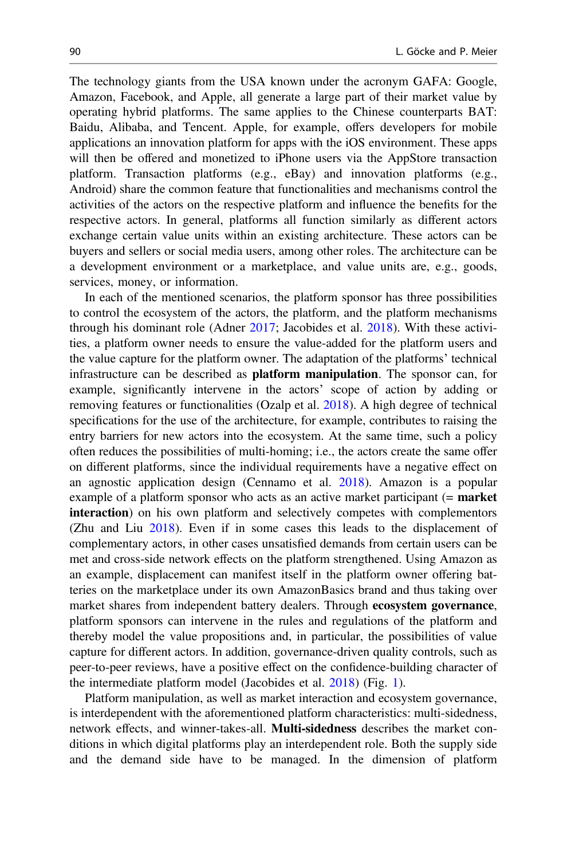The technology giants from the USA known under the acronym GAFA: Google, Amazon, Facebook, and Apple, all generate a large part of their market value by operating hybrid platforms. The same applies to the Chinese counterparts BAT: Baidu, Alibaba, and Tencent. Apple, for example, offers developers for mobile applications an innovation platform for apps with the iOS environment. These apps will then be offered and monetized to iPhone users via the AppStore transaction platform. Transaction platforms (e.g., eBay) and innovation platforms (e.g., Android) share the common feature that functionalities and mechanisms control the activities of the actors on the respective platform and influence the benefits for the respective actors. In general, platforms all function similarly as different actors exchange certain value units within an existing architecture. These actors can be buyers and sellers or social media users, among other roles. The architecture can be a development environment or a marketplace, and value units are, e.g., goods, services, money, or information.

In each of the mentioned scenarios, the platform sponsor has three possibilities to control the ecosystem of the actors, the platform, and the platform mechanisms through his dominant role (Adner [2017;](#page-13-0) Jacobides et al. [2018\)](#page-14-0). With these activities, a platform owner needs to ensure the value-added for the platform users and the value capture for the platform owner. The adaptation of the platforms' technical infrastructure can be described as platform manipulation. The sponsor can, for example, significantly intervene in the actors' scope of action by adding or removing features or functionalities (Ozalp et al. [2018\)](#page-14-0). A high degree of technical specifications for the use of the architecture, for example, contributes to raising the entry barriers for new actors into the ecosystem. At the same time, such a policy often reduces the possibilities of multi-homing; i.e., the actors create the same offer on different platforms, since the individual requirements have a negative effect on an agnostic application design (Cennamo et al. [2018\)](#page-13-0). Amazon is a popular example of a platform sponsor who acts as an active market participant  $(=$ **market** interaction) on his own platform and selectively competes with complementors (Zhu and Liu [2018\)](#page-15-0). Even if in some cases this leads to the displacement of complementary actors, in other cases unsatisfied demands from certain users can be met and cross-side network effects on the platform strengthened. Using Amazon as an example, displacement can manifest itself in the platform owner offering batteries on the marketplace under its own AmazonBasics brand and thus taking over market shares from independent battery dealers. Through ecosystem governance, platform sponsors can intervene in the rules and regulations of the platform and thereby model the value propositions and, in particular, the possibilities of value capture for different actors. In addition, governance-driven quality controls, such as peer-to-peer reviews, have a positive effect on the confidence-building character of the intermediate platform model (Jacobides et al. [2018](#page-14-0)) (Fig. [1](#page-4-0)).

Platform manipulation, as well as market interaction and ecosystem governance, is interdependent with the aforementioned platform characteristics: multi-sidedness, network effects, and winner-takes-all. Multi-sidedness describes the market conditions in which digital platforms play an interdependent role. Both the supply side and the demand side have to be managed. In the dimension of platform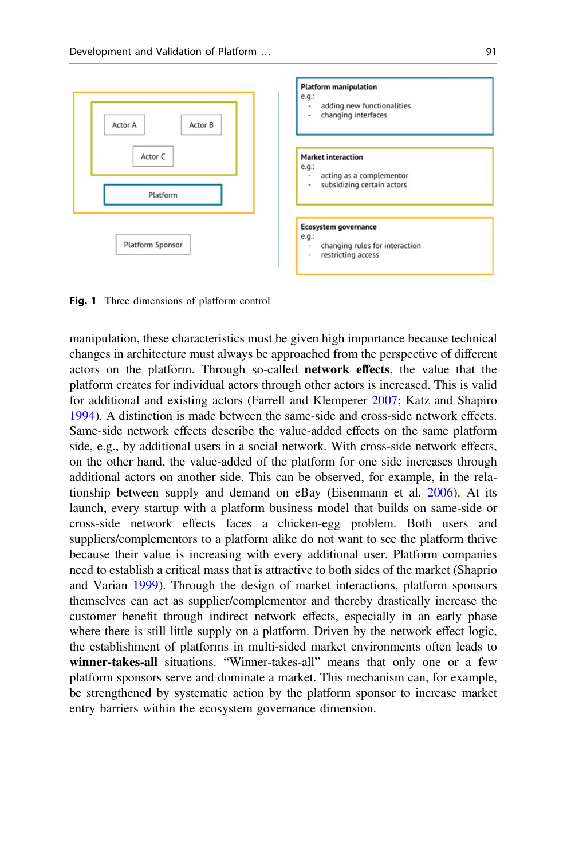<span id="page-4-0"></span>

Fig. 1 Three dimensions of platform control

manipulation, these characteristics must be given high importance because technical changes in architecture must always be approached from the perspective of different actors on the platform. Through so-called network effects, the value that the platform creates for individual actors through other actors is increased. This is valid for additional and existing actors (Farrell and Klemperer [2007](#page-14-0); Katz and Shapiro [1994\)](#page-14-0). A distinction is made between the same-side and cross-side network effects. Same-side network effects describe the value-added effects on the same platform side, e.g., by additional users in a social network. With cross-side network effects, on the other hand, the value-added of the platform for one side increases through additional actors on another side. This can be observed, for example, in the relationship between supply and demand on eBay (Eisenmann et al. [2006](#page-14-0)). At its launch, every startup with a platform business model that builds on same-side or cross-side network effects faces a chicken-egg problem. Both users and suppliers/complementors to a platform alike do not want to see the platform thrive because their value is increasing with every additional user. Platform companies need to establish a critical mass that is attractive to both sides of the market (Shaprio and Varian [1999](#page-14-0)). Through the design of market interactions, platform sponsors themselves can act as supplier/complementor and thereby drastically increase the customer benefit through indirect network effects, especially in an early phase where there is still little supply on a platform. Driven by the network effect logic, the establishment of platforms in multi-sided market environments often leads to winner-takes-all situations. "Winner-takes-all" means that only one or a few platform sponsors serve and dominate a market. This mechanism can, for example, be strengthened by systematic action by the platform sponsor to increase market entry barriers within the ecosystem governance dimension.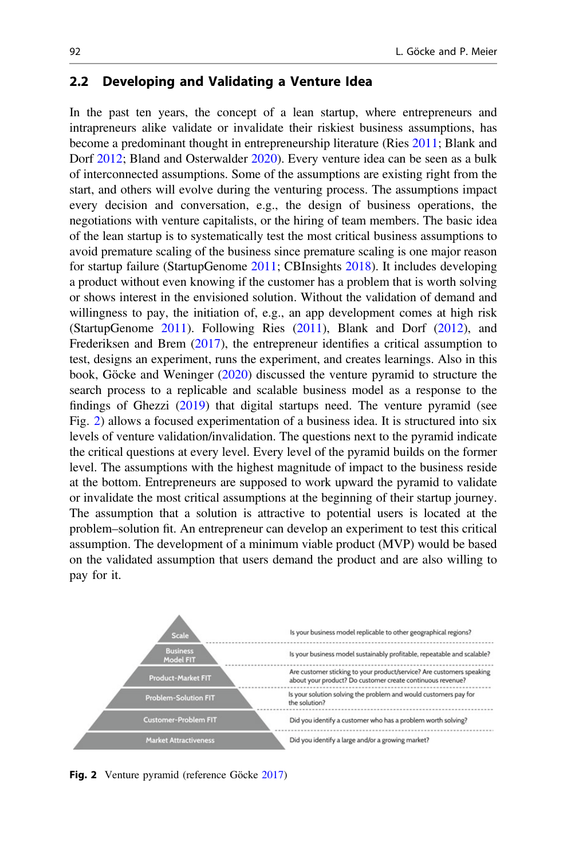#### 2.2 Developing and Validating a Venture Idea

In the past ten years, the concept of a lean startup, where entrepreneurs and intrapreneurs alike validate or invalidate their riskiest business assumptions, has become a predominant thought in entrepreneurship literature (Ries [2011;](#page-14-0) Blank and Dorf [2012](#page-13-0); Bland and Osterwalder [2020\)](#page-13-0). Every venture idea can be seen as a bulk of interconnected assumptions. Some of the assumptions are existing right from the start, and others will evolve during the venturing process. The assumptions impact every decision and conversation, e.g., the design of business operations, the negotiations with venture capitalists, or the hiring of team members. The basic idea of the lean startup is to systematically test the most critical business assumptions to avoid premature scaling of the business since premature scaling is one major reason for startup failure (StartupGenome [2011;](#page-15-0) CBInsights [2018\)](#page-13-0). It includes developing a product without even knowing if the customer has a problem that is worth solving or shows interest in the envisioned solution. Without the validation of demand and willingness to pay, the initiation of, e.g., an app development comes at high risk (StartupGenome [2011](#page-15-0)). Following Ries [\(2011](#page-14-0)), Blank and Dorf ([2012](#page-13-0)), and Frederiksen and Brem [\(2017](#page-14-0)), the entrepreneur identifies a critical assumption to test, designs an experiment, runs the experiment, and creates learnings. Also in this book, Göcke and Weninger [\(2020](#page-14-0)) discussed the venture pyramid to structure the search process to a replicable and scalable business model as a response to the findings of Ghezzi [\(2019](#page-14-0)) that digital startups need. The venture pyramid (see Fig. 2) allows a focused experimentation of a business idea. It is structured into six levels of venture validation/invalidation. The questions next to the pyramid indicate the critical questions at every level. Every level of the pyramid builds on the former level. The assumptions with the highest magnitude of impact to the business reside at the bottom. Entrepreneurs are supposed to work upward the pyramid to validate or invalidate the most critical assumptions at the beginning of their startup journey. The assumption that a solution is attractive to potential users is located at the problem–solution fit. An entrepreneur can develop an experiment to test this critical assumption. The development of a minimum viable product (MVP) would be based on the validated assumption that users demand the product and are also willing to pay for it.



Fig. 2 Venture pyramid (reference Göcke [2017\)](#page-14-0)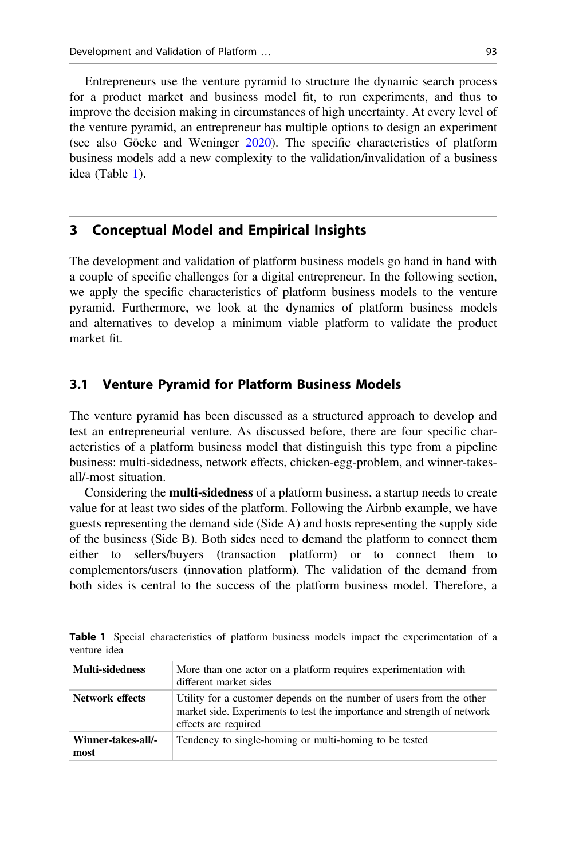Entrepreneurs use the venture pyramid to structure the dynamic search process for a product market and business model fit, to run experiments, and thus to improve the decision making in circumstances of high uncertainty. At every level of the venture pyramid, an entrepreneur has multiple options to design an experiment (see also Göcke and Weninger [2020](#page-14-0)). The specific characteristics of platform business models add a new complexity to the validation/invalidation of a business idea (Table 1).

## 3 Conceptual Model and Empirical Insights

The development and validation of platform business models go hand in hand with a couple of specific challenges for a digital entrepreneur. In the following section, we apply the specific characteristics of platform business models to the venture pyramid. Furthermore, we look at the dynamics of platform business models and alternatives to develop a minimum viable platform to validate the product market fit.

#### 3.1 Venture Pyramid for Platform Business Models

The venture pyramid has been discussed as a structured approach to develop and test an entrepreneurial venture. As discussed before, there are four specific characteristics of a platform business model that distinguish this type from a pipeline business: multi-sidedness, network effects, chicken-egg-problem, and winner-takesall/-most situation.

Considering the multi-sidedness of a platform business, a startup needs to create value for at least two sides of the platform. Following the Airbnb example, we have guests representing the demand side (Side A) and hosts representing the supply side of the business (Side B). Both sides need to demand the platform to connect them either to sellers/buyers (transaction platform) or to connect them complementors/users (innovation platform). The validation of the demand from both sides is central to the success of the platform business model. Therefore, a

|              |  |  |  |  | <b>Table 1</b> Special characteristics of platform business models impact the experimentation of a |  |
|--------------|--|--|--|--|----------------------------------------------------------------------------------------------------|--|
| venture idea |  |  |  |  |                                                                                                    |  |

| Multi-sidedness            | More than one actor on a platform requires experimentation with<br>different market sides                                                                               |
|----------------------------|-------------------------------------------------------------------------------------------------------------------------------------------------------------------------|
| Network effects            | Utility for a customer depends on the number of users from the other<br>market side. Experiments to test the importance and strength of network<br>effects are required |
| Winner-takes-all/-<br>most | Tendency to single-homing or multi-homing to be tested                                                                                                                  |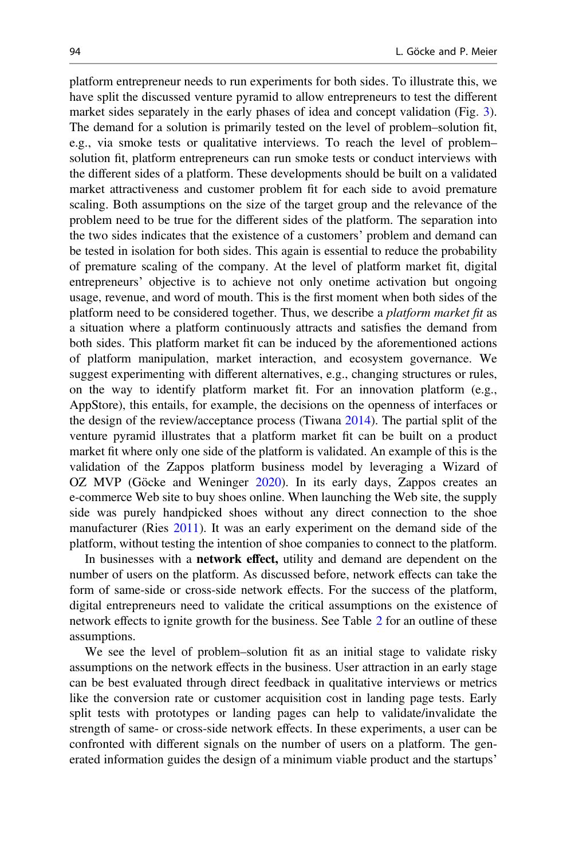platform entrepreneur needs to run experiments for both sides. To illustrate this, we have split the discussed venture pyramid to allow entrepreneurs to test the different market sides separately in the early phases of idea and concept validation (Fig. [3\)](#page-8-0). The demand for a solution is primarily tested on the level of problem–solution fit, e.g., via smoke tests or qualitative interviews. To reach the level of problem– solution fit, platform entrepreneurs can run smoke tests or conduct interviews with the different sides of a platform. These developments should be built on a validated market attractiveness and customer problem fit for each side to avoid premature scaling. Both assumptions on the size of the target group and the relevance of the problem need to be true for the different sides of the platform. The separation into the two sides indicates that the existence of a customers' problem and demand can be tested in isolation for both sides. This again is essential to reduce the probability of premature scaling of the company. At the level of platform market fit, digital entrepreneurs' objective is to achieve not only onetime activation but ongoing usage, revenue, and word of mouth. This is the first moment when both sides of the platform need to be considered together. Thus, we describe a platform market fit as a situation where a platform continuously attracts and satisfies the demand from both sides. This platform market fit can be induced by the aforementioned actions of platform manipulation, market interaction, and ecosystem governance. We suggest experimenting with different alternatives, e.g., changing structures or rules, on the way to identify platform market fit. For an innovation platform (e.g., AppStore), this entails, for example, the decisions on the openness of interfaces or the design of the review/acceptance process (Tiwana [2014\)](#page-15-0). The partial split of the venture pyramid illustrates that a platform market fit can be built on a product market fit where only one side of the platform is validated. An example of this is the validation of the Zappos platform business model by leveraging a Wizard of OZ MVP (Göcke and Weninger [2020](#page-14-0)). In its early days, Zappos creates an e-commerce Web site to buy shoes online. When launching the Web site, the supply side was purely handpicked shoes without any direct connection to the shoe manufacturer (Ries [2011\)](#page-14-0). It was an early experiment on the demand side of the platform, without testing the intention of shoe companies to connect to the platform.

In businesses with a **network effect**, utility and demand are dependent on the number of users on the platform. As discussed before, network effects can take the form of same-side or cross-side network effects. For the success of the platform, digital entrepreneurs need to validate the critical assumptions on the existence of network effects to ignite growth for the business. See Table [2](#page-8-0) for an outline of these assumptions.

We see the level of problem–solution fit as an initial stage to validate risky assumptions on the network effects in the business. User attraction in an early stage can be best evaluated through direct feedback in qualitative interviews or metrics like the conversion rate or customer acquisition cost in landing page tests. Early split tests with prototypes or landing pages can help to validate/invalidate the strength of same- or cross-side network effects. In these experiments, a user can be confronted with different signals on the number of users on a platform. The generated information guides the design of a minimum viable product and the startups'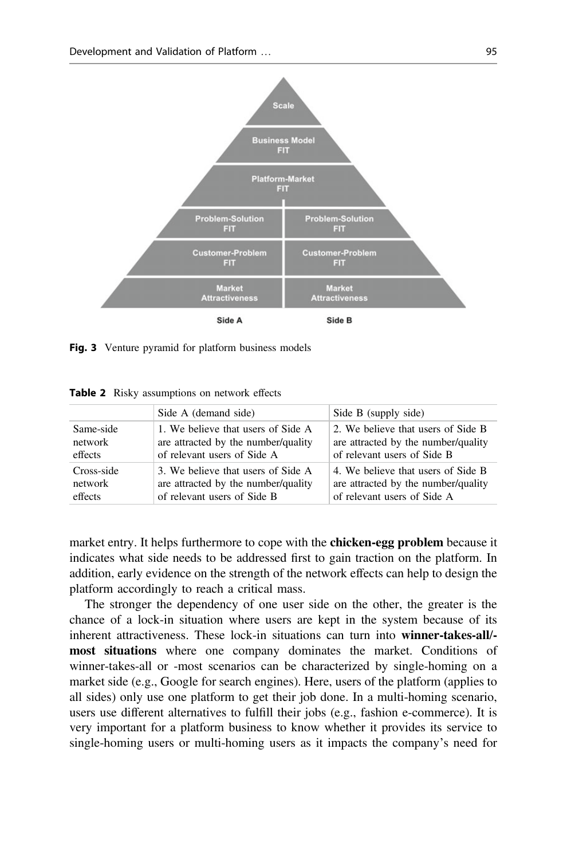<span id="page-8-0"></span>

Fig. 3 Venture pyramid for platform business models

|            | Side A (demand side)                | Side B (supply side)                |  |  |  |
|------------|-------------------------------------|-------------------------------------|--|--|--|
| Same-side  | 1. We believe that users of Side A  | 2. We believe that users of Side B  |  |  |  |
| network    | are attracted by the number/quality | are attracted by the number/quality |  |  |  |
| effects    | of relevant users of Side A         | of relevant users of Side B         |  |  |  |
| Cross-side | 3. We believe that users of Side A  | 4. We believe that users of Side B  |  |  |  |
| network    | are attracted by the number/quality | are attracted by the number/quality |  |  |  |
| effects    | of relevant users of Side B         | of relevant users of Side A         |  |  |  |

Table 2 Risky assumptions on network effects

market entry. It helps furthermore to cope with the **chicken-egg problem** because it indicates what side needs to be addressed first to gain traction on the platform. In addition, early evidence on the strength of the network effects can help to design the platform accordingly to reach a critical mass.

The stronger the dependency of one user side on the other, the greater is the chance of a lock-in situation where users are kept in the system because of its inherent attractiveness. These lock-in situations can turn into winner-takes-all/ most situations where one company dominates the market. Conditions of winner-takes-all or -most scenarios can be characterized by single-homing on a market side (e.g., Google for search engines). Here, users of the platform (applies to all sides) only use one platform to get their job done. In a multi-homing scenario, users use different alternatives to fulfill their jobs (e.g., fashion e-commerce). It is very important for a platform business to know whether it provides its service to single-homing users or multi-homing users as it impacts the company's need for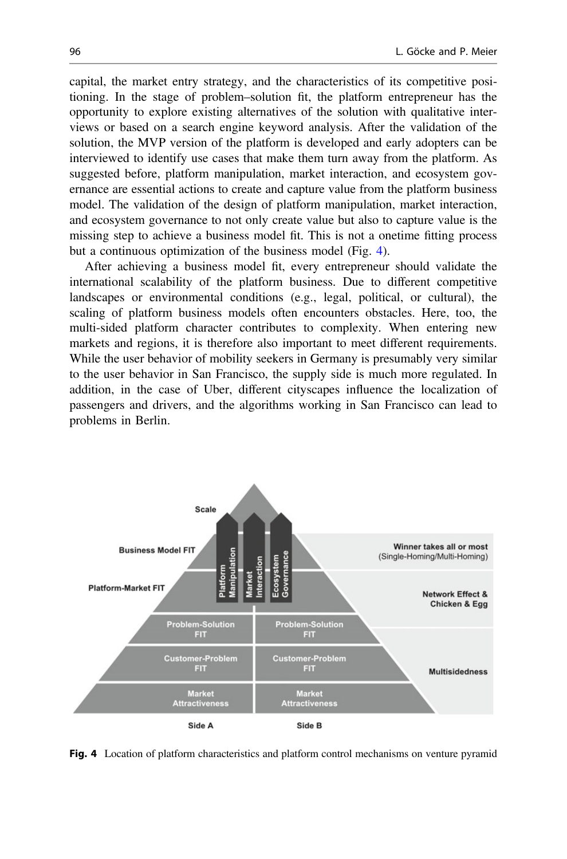capital, the market entry strategy, and the characteristics of its competitive positioning. In the stage of problem–solution fit, the platform entrepreneur has the opportunity to explore existing alternatives of the solution with qualitative interviews or based on a search engine keyword analysis. After the validation of the solution, the MVP version of the platform is developed and early adopters can be interviewed to identify use cases that make them turn away from the platform. As suggested before, platform manipulation, market interaction, and ecosystem governance are essential actions to create and capture value from the platform business model. The validation of the design of platform manipulation, market interaction, and ecosystem governance to not only create value but also to capture value is the missing step to achieve a business model fit. This is not a onetime fitting process but a continuous optimization of the business model (Fig. 4).

After achieving a business model fit, every entrepreneur should validate the international scalability of the platform business. Due to different competitive landscapes or environmental conditions (e.g., legal, political, or cultural), the scaling of platform business models often encounters obstacles. Here, too, the multi-sided platform character contributes to complexity. When entering new markets and regions, it is therefore also important to meet different requirements. While the user behavior of mobility seekers in Germany is presumably very similar to the user behavior in San Francisco, the supply side is much more regulated. In addition, in the case of Uber, different cityscapes influence the localization of passengers and drivers, and the algorithms working in San Francisco can lead to problems in Berlin.



Fig. 4 Location of platform characteristics and platform control mechanisms on venture pyramid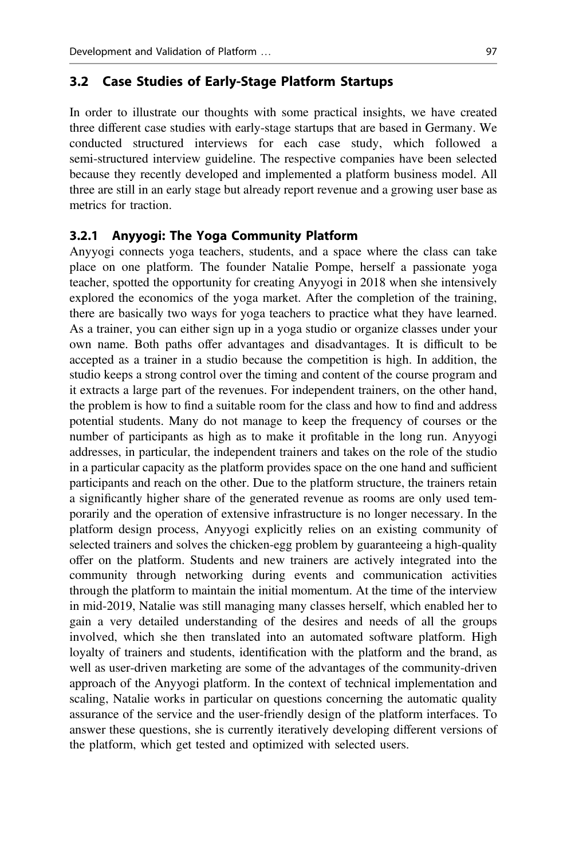## 3.2 Case Studies of Early-Stage Platform Startups

In order to illustrate our thoughts with some practical insights, we have created three different case studies with early-stage startups that are based in Germany. We conducted structured interviews for each case study, which followed a semi-structured interview guideline. The respective companies have been selected because they recently developed and implemented a platform business model. All three are still in an early stage but already report revenue and a growing user base as metrics for traction.

#### 3.2.1 Anyyogi: The Yoga Community Platform

Anyyogi connects yoga teachers, students, and a space where the class can take place on one platform. The founder Natalie Pompe, herself a passionate yoga teacher, spotted the opportunity for creating Anyyogi in 2018 when she intensively explored the economics of the yoga market. After the completion of the training, there are basically two ways for yoga teachers to practice what they have learned. As a trainer, you can either sign up in a yoga studio or organize classes under your own name. Both paths offer advantages and disadvantages. It is difficult to be accepted as a trainer in a studio because the competition is high. In addition, the studio keeps a strong control over the timing and content of the course program and it extracts a large part of the revenues. For independent trainers, on the other hand, the problem is how to find a suitable room for the class and how to find and address potential students. Many do not manage to keep the frequency of courses or the number of participants as high as to make it profitable in the long run. Anyyogi addresses, in particular, the independent trainers and takes on the role of the studio in a particular capacity as the platform provides space on the one hand and sufficient participants and reach on the other. Due to the platform structure, the trainers retain a significantly higher share of the generated revenue as rooms are only used temporarily and the operation of extensive infrastructure is no longer necessary. In the platform design process, Anyyogi explicitly relies on an existing community of selected trainers and solves the chicken-egg problem by guaranteeing a high-quality offer on the platform. Students and new trainers are actively integrated into the community through networking during events and communication activities through the platform to maintain the initial momentum. At the time of the interview in mid-2019, Natalie was still managing many classes herself, which enabled her to gain a very detailed understanding of the desires and needs of all the groups involved, which she then translated into an automated software platform. High loyalty of trainers and students, identification with the platform and the brand, as well as user-driven marketing are some of the advantages of the community-driven approach of the Anyyogi platform. In the context of technical implementation and scaling, Natalie works in particular on questions concerning the automatic quality assurance of the service and the user-friendly design of the platform interfaces. To answer these questions, she is currently iteratively developing different versions of the platform, which get tested and optimized with selected users.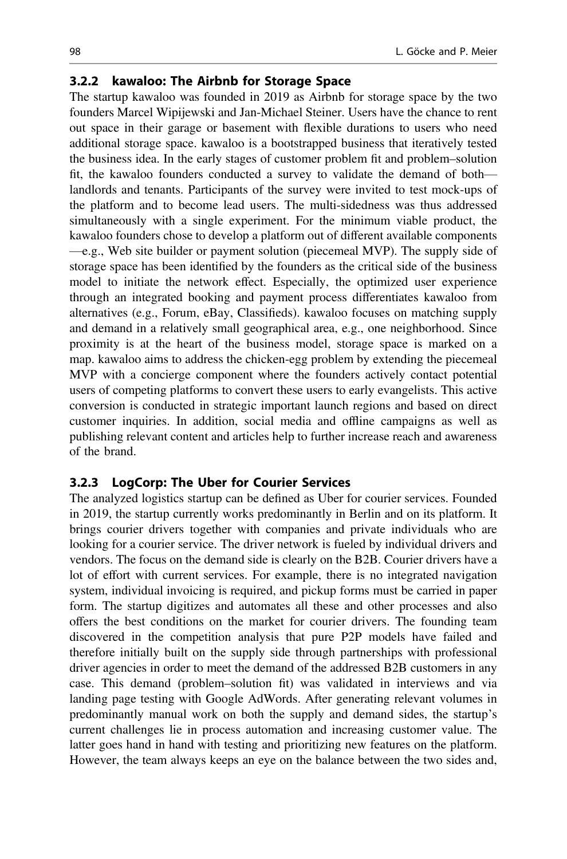#### 3.2.2 kawaloo: The Airbnb for Storage Space

The startup kawaloo was founded in 2019 as Airbnb for storage space by the two founders Marcel Wipijewski and Jan-Michael Steiner. Users have the chance to rent out space in their garage or basement with flexible durations to users who need additional storage space. kawaloo is a bootstrapped business that iteratively tested the business idea. In the early stages of customer problem fit and problem–solution fit, the kawaloo founders conducted a survey to validate the demand of both landlords and tenants. Participants of the survey were invited to test mock-ups of the platform and to become lead users. The multi-sidedness was thus addressed simultaneously with a single experiment. For the minimum viable product, the kawaloo founders chose to develop a platform out of different available components —e.g., Web site builder or payment solution (piecemeal MVP). The supply side of storage space has been identified by the founders as the critical side of the business model to initiate the network effect. Especially, the optimized user experience through an integrated booking and payment process differentiates kawaloo from alternatives (e.g., Forum, eBay, Classifieds). kawaloo focuses on matching supply and demand in a relatively small geographical area, e.g., one neighborhood. Since proximity is at the heart of the business model, storage space is marked on a map. kawaloo aims to address the chicken-egg problem by extending the piecemeal MVP with a concierge component where the founders actively contact potential users of competing platforms to convert these users to early evangelists. This active conversion is conducted in strategic important launch regions and based on direct customer inquiries. In addition, social media and offline campaigns as well as publishing relevant content and articles help to further increase reach and awareness of the brand.

#### 3.2.3 LogCorp: The Uber for Courier Services

The analyzed logistics startup can be defined as Uber for courier services. Founded in 2019, the startup currently works predominantly in Berlin and on its platform. It brings courier drivers together with companies and private individuals who are looking for a courier service. The driver network is fueled by individual drivers and vendors. The focus on the demand side is clearly on the B2B. Courier drivers have a lot of effort with current services. For example, there is no integrated navigation system, individual invoicing is required, and pickup forms must be carried in paper form. The startup digitizes and automates all these and other processes and also offers the best conditions on the market for courier drivers. The founding team discovered in the competition analysis that pure P2P models have failed and therefore initially built on the supply side through partnerships with professional driver agencies in order to meet the demand of the addressed B2B customers in any case. This demand (problem–solution fit) was validated in interviews and via landing page testing with Google AdWords. After generating relevant volumes in predominantly manual work on both the supply and demand sides, the startup's current challenges lie in process automation and increasing customer value. The latter goes hand in hand with testing and prioritizing new features on the platform. However, the team always keeps an eye on the balance between the two sides and,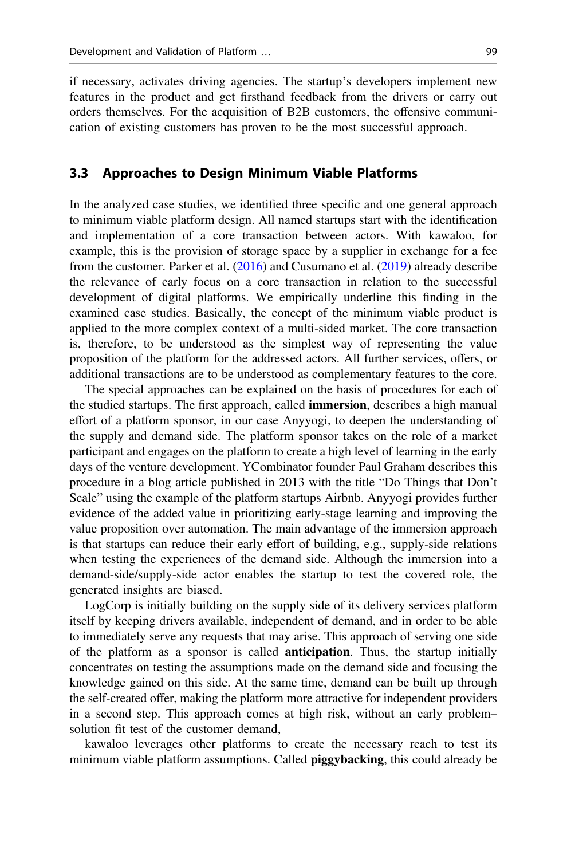if necessary, activates driving agencies. The startup's developers implement new features in the product and get firsthand feedback from the drivers or carry out orders themselves. For the acquisition of B2B customers, the offensive communication of existing customers has proven to be the most successful approach.

#### 3.3 Approaches to Design Minimum Viable Platforms

In the analyzed case studies, we identified three specific and one general approach to minimum viable platform design. All named startups start with the identification and implementation of a core transaction between actors. With kawaloo, for example, this is the provision of storage space by a supplier in exchange for a fee from the customer. Parker et al. ([2016\)](#page-14-0) and Cusumano et al. ([2019\)](#page-14-0) already describe the relevance of early focus on a core transaction in relation to the successful development of digital platforms. We empirically underline this finding in the examined case studies. Basically, the concept of the minimum viable product is applied to the more complex context of a multi-sided market. The core transaction is, therefore, to be understood as the simplest way of representing the value proposition of the platform for the addressed actors. All further services, offers, or additional transactions are to be understood as complementary features to the core.

The special approaches can be explained on the basis of procedures for each of the studied startups. The first approach, called immersion, describes a high manual effort of a platform sponsor, in our case Anyyogi, to deepen the understanding of the supply and demand side. The platform sponsor takes on the role of a market participant and engages on the platform to create a high level of learning in the early days of the venture development. YCombinator founder Paul Graham describes this procedure in a blog article published in 2013 with the title "Do Things that Don't Scale" using the example of the platform startups Airbnb. Anyyogi provides further evidence of the added value in prioritizing early-stage learning and improving the value proposition over automation. The main advantage of the immersion approach is that startups can reduce their early effort of building, e.g., supply-side relations when testing the experiences of the demand side. Although the immersion into a demand-side/supply-side actor enables the startup to test the covered role, the generated insights are biased.

LogCorp is initially building on the supply side of its delivery services platform itself by keeping drivers available, independent of demand, and in order to be able to immediately serve any requests that may arise. This approach of serving one side of the platform as a sponsor is called anticipation. Thus, the startup initially concentrates on testing the assumptions made on the demand side and focusing the knowledge gained on this side. At the same time, demand can be built up through the self-created offer, making the platform more attractive for independent providers in a second step. This approach comes at high risk, without an early problem– solution fit test of the customer demand,

kawaloo leverages other platforms to create the necessary reach to test its minimum viable platform assumptions. Called **piggybacking**, this could already be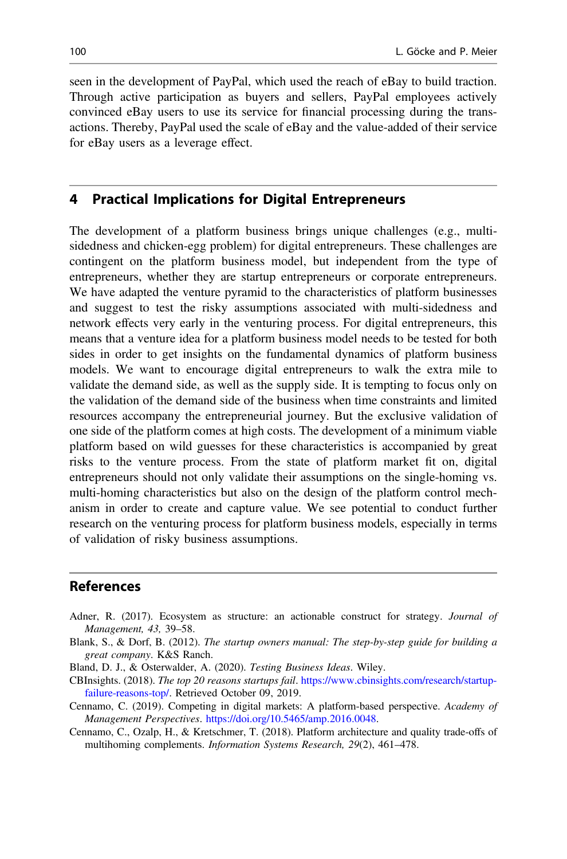<span id="page-13-0"></span>seen in the development of PayPal, which used the reach of eBay to build traction. Through active participation as buyers and sellers, PayPal employees actively convinced eBay users to use its service for financial processing during the transactions. Thereby, PayPal used the scale of eBay and the value-added of their service for eBay users as a leverage effect.

# 4 Practical Implications for Digital Entrepreneurs

The development of a platform business brings unique challenges (e.g., multisidedness and chicken-egg problem) for digital entrepreneurs. These challenges are contingent on the platform business model, but independent from the type of entrepreneurs, whether they are startup entrepreneurs or corporate entrepreneurs. We have adapted the venture pyramid to the characteristics of platform businesses and suggest to test the risky assumptions associated with multi-sidedness and network effects very early in the venturing process. For digital entrepreneurs, this means that a venture idea for a platform business model needs to be tested for both sides in order to get insights on the fundamental dynamics of platform business models. We want to encourage digital entrepreneurs to walk the extra mile to validate the demand side, as well as the supply side. It is tempting to focus only on the validation of the demand side of the business when time constraints and limited resources accompany the entrepreneurial journey. But the exclusive validation of one side of the platform comes at high costs. The development of a minimum viable platform based on wild guesses for these characteristics is accompanied by great risks to the venture process. From the state of platform market fit on, digital entrepreneurs should not only validate their assumptions on the single-homing vs. multi-homing characteristics but also on the design of the platform control mechanism in order to create and capture value. We see potential to conduct further research on the venturing process for platform business models, especially in terms of validation of risky business assumptions.

#### References

- Adner, R. (2017). Ecosystem as structure: an actionable construct for strategy. Journal of Management, 43, 39–58.
- Blank, S., & Dorf, B. (2012). The startup owners manual: The step-by-step guide for building a great company. K&S Ranch.
- Bland, D. J., & Osterwalder, A. (2020). Testing Business Ideas. Wiley.
- CBInsights. (2018). The top 20 reasons startups fail. [https://www.cbinsights.com/research/startup](https://www.cbinsights.com/research/startup-failure-reasons-top/)[failure-reasons-top/](https://www.cbinsights.com/research/startup-failure-reasons-top/). Retrieved October 09, 2019.
- Cennamo, C. (2019). Competing in digital markets: A platform-based perspective. Academy of Management Perspectives. [https://doi.org/10.5465/amp.2016.0048.](http://dx.doi.org/10.5465/amp.2016.0048)
- Cennamo, C., Ozalp, H., & Kretschmer, T. (2018). Platform architecture and quality trade-offs of multihoming complements. Information Systems Research, 29(2), 461–478.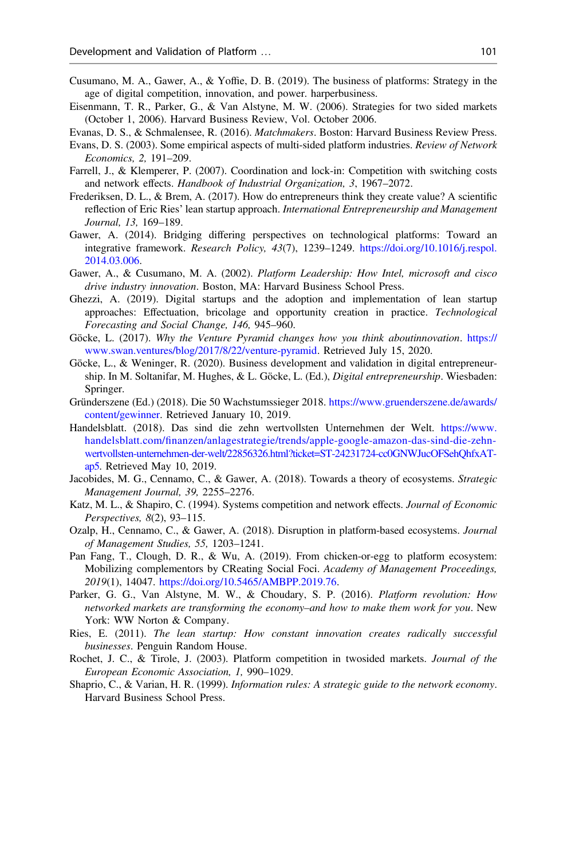- <span id="page-14-0"></span>Cusumano, M. A., Gawer, A., & Yoffie, D. B. (2019). The business of platforms: Strategy in the age of digital competition, innovation, and power. harperbusiness.
- Eisenmann, T. R., Parker, G., & Van Alstyne, M. W. (2006). Strategies for two sided markets (October 1, 2006). Harvard Business Review, Vol. October 2006.
- Evanas, D. S., & Schmalensee, R. (2016). Matchmakers. Boston: Harvard Business Review Press.
- Evans, D. S. (2003). Some empirical aspects of multi-sided platform industries. Review of Network Economics, 2, 191–209.
- Farrell, J., & Klemperer, P. (2007). Coordination and lock-in: Competition with switching costs and network effects. Handbook of Industrial Organization, 3, 1967–2072.
- Frederiksen, D. L., & Brem, A. (2017). How do entrepreneurs think they create value? A scientific reflection of Eric Ries' lean startup approach. International Entrepreneurship and Management Journal, 13, 169–189.
- Gawer, A. (2014). Bridging differing perspectives on technological platforms: Toward an integrative framework. Research Policy, 43(7), 1239–1249. [https://doi.org/10.1016/j.respol.](http://dx.doi.org/10.1016/j.respol.2014.03.006) [2014.03.006](http://dx.doi.org/10.1016/j.respol.2014.03.006).
- Gawer, A., & Cusumano, M. A. (2002). Platform Leadership: How Intel, microsoft and cisco drive industry innovation. Boston, MA: Harvard Business School Press.
- Ghezzi, A. (2019). Digital startups and the adoption and implementation of lean startup approaches: Effectuation, bricolage and opportunity creation in practice. Technological Forecasting and Social Change, 146, 945–960.
- Göcke, L. (2017). Why the Venture Pyramid changes how you think aboutinnovation. [https://](https://www.swan.ventures/blog/2017/8/22/venture-pyramid) [www.swan.ventures/blog/2017/8/22/venture-pyramid.](https://www.swan.ventures/blog/2017/8/22/venture-pyramid) Retrieved July 15, 2020.
- Göcke, L., & Weninger, R. (2020). Business development and validation in digital entrepreneurship. In M. Soltanifar, M. Hughes, & L. Göcke, L. (Ed.), *Digital entrepreneurship*. Wiesbaden: Springer.
- Gründerszene (Ed.) (2018). Die 50 Wachstumssieger 2018. [https://www.gruenderszene.de/awards/](https://www.gruenderszene.de/awards/content/gewinner) [content/gewinner.](https://www.gruenderszene.de/awards/content/gewinner) Retrieved January 10, 2019.
- Handelsblatt. (2018). Das sind die zehn wertvollsten Unternehmen der Welt. [https://www.](https://www.handelsblatt.com/finanzen/anlagestrategie/trends/apple-google-amazon-das-sind-die-zehn-wertvollsten-unternehmen-der-welt/22856326.html%3fticket%3dST-24231724-cc0GNWJucOFSehQhfxAT-ap5) handelsblatt.com/fi[nanzen/anlagestrategie/trends/apple-google-amazon-das-sind-die-zehn](https://www.handelsblatt.com/finanzen/anlagestrategie/trends/apple-google-amazon-das-sind-die-zehn-wertvollsten-unternehmen-der-welt/22856326.html%3fticket%3dST-24231724-cc0GNWJucOFSehQhfxAT-ap5)[wertvollsten-unternehmen-der-welt/22856326.html?ticket=ST-24231724-cc0GNWJucOFSehQhfxAT](https://www.handelsblatt.com/finanzen/anlagestrategie/trends/apple-google-amazon-das-sind-die-zehn-wertvollsten-unternehmen-der-welt/22856326.html%3fticket%3dST-24231724-cc0GNWJucOFSehQhfxAT-ap5)[ap5](https://www.handelsblatt.com/finanzen/anlagestrategie/trends/apple-google-amazon-das-sind-die-zehn-wertvollsten-unternehmen-der-welt/22856326.html%3fticket%3dST-24231724-cc0GNWJucOFSehQhfxAT-ap5). Retrieved May 10, 2019.
- Jacobides, M. G., Cennamo, C., & Gawer, A. (2018). Towards a theory of ecosystems. Strategic Management Journal, 39, 2255–2276.
- Katz, M. L., & Shapiro, C. (1994). Systems competition and network effects. Journal of Economic Perspectives, 8(2), 93–115.
- Ozalp, H., Cennamo, C., & Gawer, A. (2018). Disruption in platform-based ecosystems. Journal of Management Studies, 55, 1203–1241.
- Pan Fang, T., Clough, D. R., & Wu, A. (2019). From chicken-or-egg to platform ecosystem: Mobilizing complementors by CReating Social Foci. Academy of Management Proceedings, 2019(1), 14047. [https://doi.org/10.5465/AMBPP.2019.76](http://dx.doi.org/10.5465/AMBPP.2019.76).
- Parker, G. G., Van Alstyne, M. W., & Choudary, S. P. (2016). Platform revolution: How networked markets are transforming the economy–and how to make them work for you. New York: WW Norton & Company.
- Ries, E. (2011). The lean startup: How constant innovation creates radically successful businesses. Penguin Random House.
- Rochet, J. C., & Tirole, J. (2003). Platform competition in twosided markets. Journal of the European Economic Association, 1, 990–1029.
- Shaprio, C., & Varian, H. R. (1999). Information rules: A strategic guide to the network economy. Harvard Business School Press.